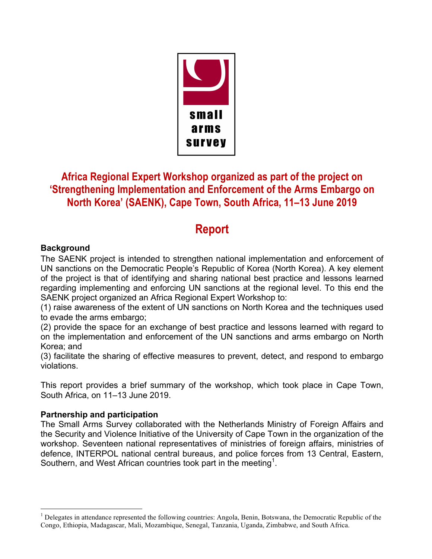

## **Africa Regional Expert Workshop organized as part of the project on 'Strengthening Implementation and Enforcement of the Arms Embargo on North Korea' (SAENK), Cape Town, South Africa, 11–13 June 2019**

# **Report**

### **Background**

The SAENK project is intended to strengthen national implementation and enforcement of UN sanctions on the Democratic People's Republic of Korea (North Korea). A key element of the project is that of identifying and sharing national best practice and lessons learned regarding implementing and enforcing UN sanctions at the regional level. To this end the SAENK project organized an Africa Regional Expert Workshop to:

(1) raise awareness of the extent of UN sanctions on North Korea and the techniques used to evade the arms embargo;

(2) provide the space for an exchange of best practice and lessons learned with regard to on the implementation and enforcement of the UN sanctions and arms embargo on North Korea; and

(3) facilitate the sharing of effective measures to prevent, detect, and respond to embargo violations.

This report provides a brief summary of the workshop, which took place in Cape Town, South Africa, on 11–13 June 2019.

### **Partnership and participation**

The Small Arms Survey collaborated with the Netherlands Ministry of Foreign Affairs and the Security and Violence Initiative of the University of Cape Town in the organization of the workshop. Seventeen national representatives of ministries of foreign affairs, ministries of defence, INTERPOL national central bureaus, and police forces from 13 Central, Eastern, Southern, and West African countries took part in the meeting<sup>1</sup>.

 $<sup>1</sup>$  Delegates in attendance represented the following countries: Angola, Benin, Botswana, the Democratic Republic of the</sup> Congo, Ethiopia, Madagascar, Mali, Mozambique, Senegal, Tanzania, Uganda, Zimbabwe, and South Africa.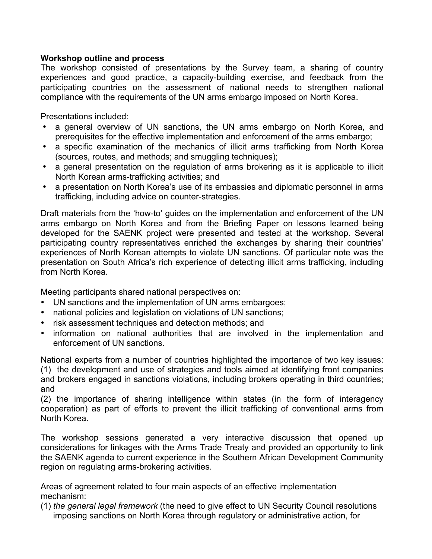#### **Workshop outline and process**

The workshop consisted of presentations by the Survey team, a sharing of country experiences and good practice, a capacity-building exercise, and feedback from the participating countries on the assessment of national needs to strengthen national compliance with the requirements of the UN arms embargo imposed on North Korea.

Presentations included:

- a general overview of UN sanctions, the UN arms embargo on North Korea, and prerequisites for the effective implementation and enforcement of the arms embargo;
- a specific examination of the mechanics of illicit arms trafficking from North Korea (sources, routes, and methods; and smuggling techniques);
- a general presentation on the regulation of arms brokering as it is applicable to illicit North Korean arms-trafficking activities; and
- a presentation on North Korea's use of its embassies and diplomatic personnel in arms trafficking, including advice on counter-strategies.

Draft materials from the 'how-to' guides on the implementation and enforcement of the UN arms embargo on North Korea and from the Briefing Paper on lessons learned being developed for the SAENK project were presented and tested at the workshop. Several participating country representatives enriched the exchanges by sharing their countries' experiences of North Korean attempts to violate UN sanctions. Of particular note was the presentation on South Africa's rich experience of detecting illicit arms trafficking, including from North Korea.

Meeting participants shared national perspectives on:

- UN sanctions and the implementation of UN arms embargoes;
- national policies and legislation on violations of UN sanctions;
- risk assessment techniques and detection methods; and
- information on national authorities that are involved in the implementation and enforcement of UN sanctions.

National experts from a number of countries highlighted the importance of two key issues: (1) the development and use of strategies and tools aimed at identifying front companies and brokers engaged in sanctions violations, including brokers operating in third countries; and

(2) the importance of sharing intelligence within states (in the form of interagency cooperation) as part of efforts to prevent the illicit trafficking of conventional arms from North Korea.

The workshop sessions generated a very interactive discussion that opened up considerations for linkages with the Arms Trade Treaty and provided an opportunity to link the SAENK agenda to current experience in the Southern African Development Community region on regulating arms-brokering activities.

Areas of agreement related to four main aspects of an effective implementation mechanism:

(1) *the general legal framework* (the need to give effect to UN Security Council resolutions imposing sanctions on North Korea through regulatory or administrative action, for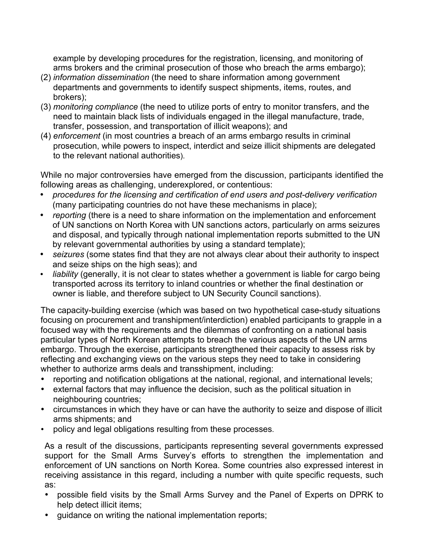example by developing procedures for the registration, licensing, and monitoring of arms brokers and the criminal prosecution of those who breach the arms embargo);

- (2) *information dissemination* (the need to share information among government departments and governments to identify suspect shipments, items, routes, and brokers);
- (3) *monitoring compliance* (the need to utilize ports of entry to monitor transfers, and the need to maintain black lists of individuals engaged in the illegal manufacture, trade, transfer, possession, and transportation of illicit weapons); and
- (4) *enforcement* (in most countries a breach of an arms embargo results in criminal prosecution, while powers to inspect, interdict and seize illicit shipments are delegated to the relevant national authorities).

While no major controversies have emerged from the discussion, participants identified the following areas as challenging, underexplored, or contentious:

- *procedures for the licensing and certification of end users and post-delivery verification* (many participating countries do not have these mechanisms in place);
- *reporting* (there is a need to share information on the implementation and enforcement of UN sanctions on North Korea with UN sanctions actors, particularly on arms seizures and disposal, and typically through national implementation reports submitted to the UN by relevant governmental authorities by using a standard template);
- *seizures* (some states find that they are not always clear about their authority to inspect and seize ships on the high seas); and
- *liability* (generally, it is not clear to states whether a government is liable for cargo being transported across its territory to inland countries or whether the final destination or owner is liable, and therefore subject to UN Security Council sanctions).

The capacity-building exercise (which was based on two hypothetical case-study situations focusing on procurement and transhipment/interdiction) enabled participants to grapple in a focused way with the requirements and the dilemmas of confronting on a national basis particular types of North Korean attempts to breach the various aspects of the UN arms embargo. Through the exercise, participants strengthened their capacity to assess risk by reflecting and exchanging views on the various steps they need to take in considering whether to authorize arms deals and transshipment, including:

- reporting and notification obligations at the national, regional, and international levels;
- external factors that may influence the decision, such as the political situation in neighbouring countries;
- circumstances in which they have or can have the authority to seize and dispose of illicit arms shipments; and
- policy and legal obligations resulting from these processes.

As a result of the discussions, participants representing several governments expressed support for the Small Arms Survey's efforts to strengthen the implementation and enforcement of UN sanctions on North Korea. Some countries also expressed interest in receiving assistance in this regard, including a number with quite specific requests, such as:

- possible field visits by the Small Arms Survey and the Panel of Experts on DPRK to help detect illicit items;
- guidance on writing the national implementation reports;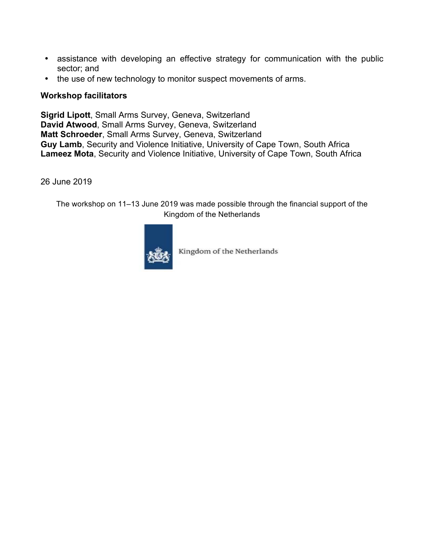- assistance with developing an effective strategy for communication with the public sector; and
- the use of new technology to monitor suspect movements of arms.

#### **Workshop facilitators**

**Sigrid Lipott**, Small Arms Survey, Geneva, Switzerland **David Atwood**, Small Arms Survey, Geneva, Switzerland **Matt Schroeder**, Small Arms Survey, Geneva, Switzerland **Guy Lamb**, Security and Violence Initiative, University of Cape Town, South Africa **Lameez Mota**, Security and Violence Initiative, University of Cape Town, South Africa

26 June 2019

The workshop on 11–13 June 2019 was made possible through the financial support of the Kingdom of the Netherlands



Kingdom of the Netherlands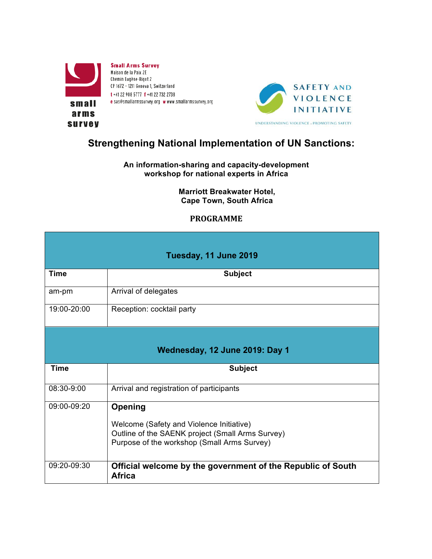



# **Strengthening National Implementation of UN Sanctions:**

#### **An information-sharing and capacity-development workshop for national experts in Africa**

**Marriott Breakwater Hotel, Cape Town, South Africa**

#### **PROGRAMME**

| Tuesday, 11 June 2019          |                                                                                                                                                        |  |
|--------------------------------|--------------------------------------------------------------------------------------------------------------------------------------------------------|--|
| <b>Time</b>                    | <b>Subject</b>                                                                                                                                         |  |
| am-pm                          | Arrival of delegates                                                                                                                                   |  |
| 19:00-20:00                    | Reception: cocktail party                                                                                                                              |  |
| Wednesday, 12 June 2019: Day 1 |                                                                                                                                                        |  |
| <b>Time</b>                    | <b>Subject</b>                                                                                                                                         |  |
| 08:30-9:00                     | Arrival and registration of participants                                                                                                               |  |
| 09:00-09:20                    | Opening<br>Welcome (Safety and Violence Initiative)<br>Outline of the SAENK project (Small Arms Survey)<br>Purpose of the workshop (Small Arms Survey) |  |
| 09:20-09:30                    | Official welcome by the government of the Republic of South<br>Africa                                                                                  |  |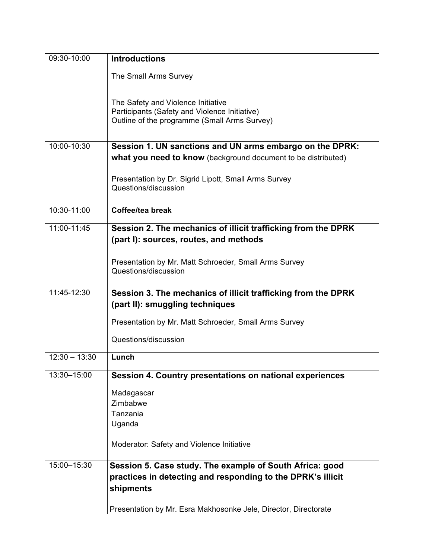| 09:30-10:00     | <b>Introductions</b>                                                                                                                |
|-----------------|-------------------------------------------------------------------------------------------------------------------------------------|
|                 | The Small Arms Survey                                                                                                               |
|                 | The Safety and Violence Initiative<br>Participants (Safety and Violence Initiative)<br>Outline of the programme (Small Arms Survey) |
| 10:00-10:30     | Session 1. UN sanctions and UN arms embargo on the DPRK:                                                                            |
|                 | what you need to know (background document to be distributed)                                                                       |
|                 | Presentation by Dr. Sigrid Lipott, Small Arms Survey<br>Questions/discussion                                                        |
| 10:30-11:00     | Coffee/tea break                                                                                                                    |
| 11:00-11:45     | Session 2. The mechanics of illicit trafficking from the DPRK<br>(part I): sources, routes, and methods                             |
|                 | Presentation by Mr. Matt Schroeder, Small Arms Survey<br>Questions/discussion                                                       |
| 11:45-12:30     | Session 3. The mechanics of illicit trafficking from the DPRK<br>(part II): smuggling techniques                                    |
|                 | Presentation by Mr. Matt Schroeder, Small Arms Survey                                                                               |
|                 | Questions/discussion                                                                                                                |
| $12:30 - 13:30$ | Lunch                                                                                                                               |
| 13:30-15:00     | Session 4. Country presentations on national experiences                                                                            |
|                 | Madagascar                                                                                                                          |
|                 | Zimbabwe                                                                                                                            |
|                 | Tanzania                                                                                                                            |
|                 | Uganda                                                                                                                              |
|                 | Moderator: Safety and Violence Initiative                                                                                           |
| 15:00-15:30     | Session 5. Case study. The example of South Africa: good                                                                            |
|                 | practices in detecting and responding to the DPRK's illicit                                                                         |
|                 | shipments                                                                                                                           |
|                 | Presentation by Mr. Esra Makhosonke Jele, Director, Directorate                                                                     |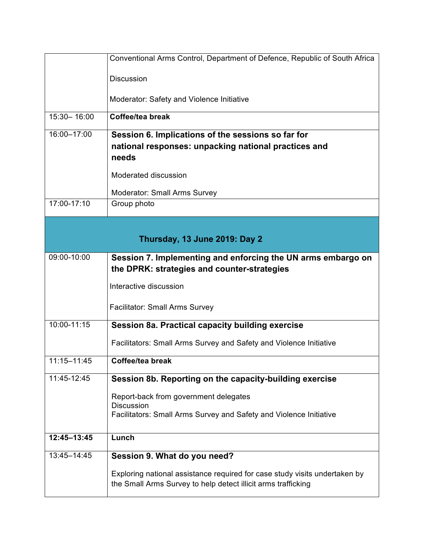|                               | Conventional Arms Control, Department of Defence, Republic of South Africa                                  |  |
|-------------------------------|-------------------------------------------------------------------------------------------------------------|--|
|                               | <b>Discussion</b>                                                                                           |  |
|                               | Moderator: Safety and Violence Initiative                                                                   |  |
| 15:30-16:00                   | Coffee/tea break                                                                                            |  |
| 16:00-17:00                   | Session 6. Implications of the sessions so far for                                                          |  |
|                               | national responses: unpacking national practices and<br>needs                                               |  |
|                               | Moderated discussion                                                                                        |  |
|                               | <b>Moderator: Small Arms Survey</b>                                                                         |  |
| 17:00-17:10                   | Group photo                                                                                                 |  |
|                               |                                                                                                             |  |
| Thursday, 13 June 2019: Day 2 |                                                                                                             |  |
| 09:00-10:00                   | Session 7. Implementing and enforcing the UN arms embargo on<br>the DPRK: strategies and counter-strategies |  |
|                               | Interactive discussion                                                                                      |  |
|                               |                                                                                                             |  |
|                               | <b>Facilitator: Small Arms Survey</b>                                                                       |  |
| 10:00-11:15                   | Session 8a. Practical capacity building exercise                                                            |  |
|                               | Facilitators: Small Arms Survey and Safety and Violence Initiative                                          |  |
| 11:15-11:45                   | Coffee/tea break                                                                                            |  |
| 11:45-12:45                   | Session 8b. Reporting on the capacity-building exercise                                                     |  |
|                               | Report-back from government delegates                                                                       |  |
|                               | <b>Discussion</b><br>Facilitators: Small Arms Survey and Safety and Violence Initiative                     |  |
|                               |                                                                                                             |  |
| 12:45-13:45                   | Lunch                                                                                                       |  |
| 13:45-14:45                   | Session 9. What do you need?                                                                                |  |
|                               | Exploring national assistance required for case study visits undertaken by                                  |  |
|                               | the Small Arms Survey to help detect illicit arms trafficking                                               |  |